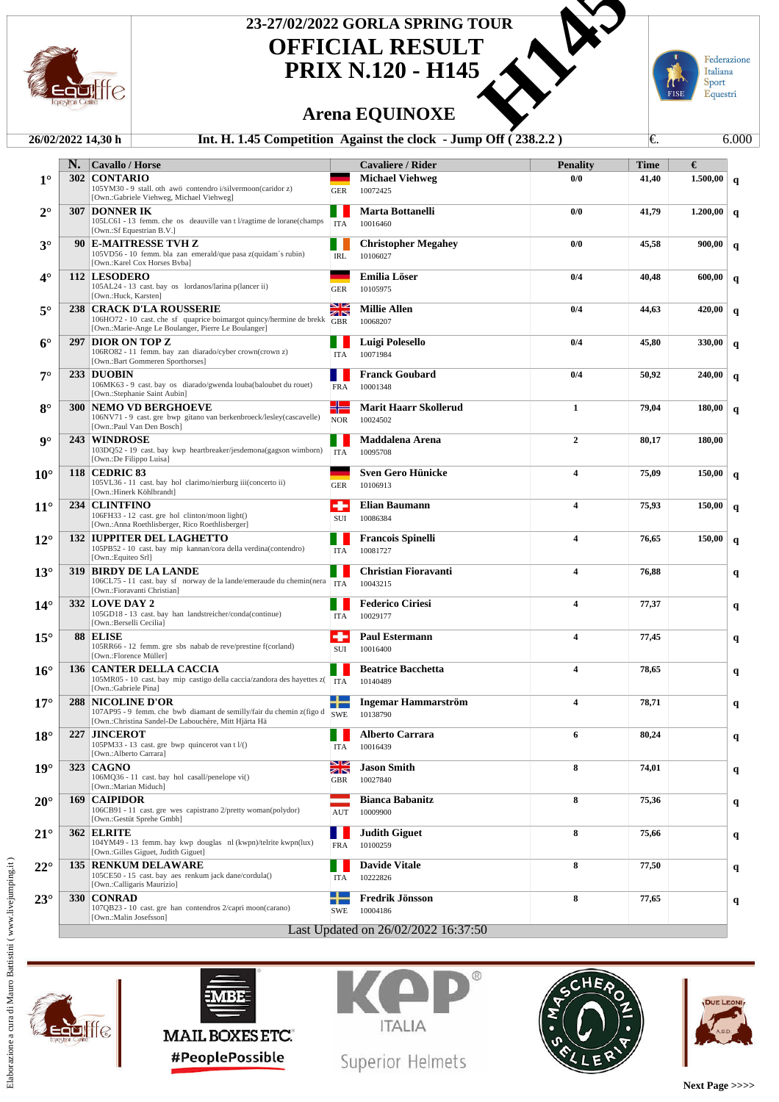

## **OFFICIAL RESULT PRIX N.120 - H145 23-27/02/2022 GORLA SPRING TOUR<br>
<b>DEFICIAL RESULT**<br>
PRIX N.120 - H145<br>
Arena EQUINOXE<br>
45 Competition Against the clock - Jump Off (238.2.2)

## **Arena EQUINOXE**



## **26/02/2022 14,30 h Int. H. 1.45 Competition Against the clock - Jump Off ( 238.2.2 )** €. 6.000

|                      | N. | <b>Cavallo / Horse</b>                                                                                    |                          | <b>Cavaliere / Rider</b>               | <b>Penality</b>         | <b>Time</b> | €        |              |
|----------------------|----|-----------------------------------------------------------------------------------------------------------|--------------------------|----------------------------------------|-------------------------|-------------|----------|--------------|
| $1^{\circ}$          |    | <b>302 CONTARIO</b>                                                                                       |                          | <b>Michael Viehweg</b>                 | 0/0                     | 41,40       | 1.500,00 | $\mathbf q$  |
|                      |    | 105YM30 - 9 stall. oth awö contendro i/silvermoon(caridor z)<br>[Own.:Gabriele Viehweg, Michael Viehweg]  | <b>GER</b>               | 10072425                               |                         |             |          |              |
| $2^{\circ}$          |    | <b>307 DONNER IK</b>                                                                                      |                          | <b>Marta Bottanelli</b>                | 0/0                     | 41,79       | 1.200,00 | $\mathbf{q}$ |
|                      |    | 105LC61 - 13 femm. che os deauville van t l/ragtime de lorane(champs<br>[Own.:Sf Equestrian B.V.]         | <b>ITA</b>               | 10016460                               |                         |             |          |              |
| $3^\circ$            |    | 90 E-MAITRESSE TVH Z                                                                                      |                          | <b>Christopher Megahey</b>             | 0/0                     | 45,58       | 900,00   | q            |
|                      |    | 105VD56 - 10 femm. bla zan emerald/que pasa z(quidam's rubin)<br>[Own.:Karel Cox Horses Byba]             | <b>IRL</b>               | 10106027                               |                         |             |          |              |
| 4°                   |    | 112 LESODERO                                                                                              |                          | <b>Emilia Löser</b>                    | 0/4                     | 40,48       | 600,00   |              |
|                      |    | 105AL24 - 13 cast. bay os lordanos/larina p(lancer ii)                                                    | <b>GER</b>               | 10105975                               |                         |             |          | $\mathbf q$  |
|                      |    | [Own.:Huck, Karsten]                                                                                      | <b>SIZ</b>               |                                        |                         |             |          |              |
| $5^\circ$            |    | <b>238   CRACK D'LA ROUSSERIE</b><br>106HO72 - 10 cast. che sf quaprice boimargot quincy/hermine de brekk | <b>ZIN</b><br><b>GBR</b> | <b>Millie Allen</b><br>10068207        | 0/4                     | 44,63       | 420,00   | $\mathbf q$  |
|                      |    | [Own.:Marie-Ange Le Boulanger, Pierre Le Boulanger]                                                       |                          |                                        |                         |             |          |              |
| $6^{\circ}$          |    | 297   DIOR ON TOP Z<br>106RO82 - 11 femm. bay zan diarado/cyber crown(crown z)                            | <b>ITA</b>               | Luigi Polesello<br>10071984            | 0/4                     | 45,80       | 330,00   | q            |
|                      |    | [Own.:Bart Gommeren Sporthorses]                                                                          |                          |                                        |                         |             |          |              |
| 7°                   |    | 233 DUOBIN                                                                                                |                          | <b>Franck Goubard</b>                  | 0/4                     | 50,92       | 240,00   | q            |
|                      |    | 106MK63 - 9 cast. bay os diarado/gwenda louba(baloubet du rouet)<br>[Own.:Stephanie Saint Aubin]          | <b>FRA</b>               | 10001348                               |                         |             |          |              |
| $8^{\circ}$          |    | <b>300 NEMO VD BERGHOEVE</b>                                                                              | ╬                        | <b>Marit Haarr Skollerud</b>           | 1                       | 79,04       | 180,00   | $\mathbf q$  |
|                      |    | 106NV71 - 9 cast. gre bwp gitano van berkenbroeck/lesley(cascavelle)<br>[Own.:Paul Van Den Bosch]         | <b>NOR</b>               | 10024502                               |                         |             |          |              |
| $\mathbf{Q}^{\circ}$ |    | 243 WINDROSE                                                                                              |                          | Maddalena Arena                        | $\overline{2}$          | 80,17       | 180,00   |              |
|                      |    | 103DQ52 - 19 cast. bay kwp heartbreaker/jesdemona(gagson wimborn)<br>[Own.:De Filippo Luisa]              | <b>ITA</b>               | 10095708                               |                         |             |          |              |
| $10^{\circ}$         |    | <b>118 CEDRIC 83</b>                                                                                      |                          | <b>Sven Gero Hünicke</b>               | $\overline{\mathbf{4}}$ | 75,09       | 150,00   |              |
|                      |    | 105VL36 - 11 cast. bay hol clarimo/nierburg iii(concerto ii)                                              | <b>GER</b>               | 10106913                               |                         |             |          | $\mathbf q$  |
|                      |    | [Own.:Hinerk Köhlbrandt]                                                                                  | ۰                        |                                        |                         |             |          |              |
| $11^{\circ}$         |    | 234 CLINTFINO<br>106FH33 - 12 cast. gre hol clinton/moon light()                                          | SUI                      | <b>Elian Baumann</b><br>10086384       | $\overline{\mathbf{4}}$ | 75,93       | 150,00   | $\mathbf q$  |
|                      |    | [Own.:Anna Roethlisberger, Rico Roethlisberger]                                                           |                          |                                        |                         |             |          |              |
| $12^{\circ}$         |    | <b>132 IUPPITER DEL LAGHETTO</b><br>105PB52 - 10 cast. bay mip kannan/cora della verdina(contendro)       |                          | <b>Francois Spinelli</b>               | $\overline{\mathbf{4}}$ | 76,65       | 150,00   | $\mathbf q$  |
|                      |    | [Own.:Equiteo Srl]                                                                                        | <b>ITA</b>               | 10081727                               |                         |             |          |              |
| $13^\circ$           |    | <b>319 BIRDY DE LA LANDE</b>                                                                              |                          | <b>Christian Fioravanti</b>            | $\overline{\mathbf{4}}$ | 76,88       |          | q            |
|                      |    | 106CL75 - 11 cast. bay sf norway de la lande/emeraude du chemin(nera<br>[Own.:Fioravanti Christian]       | <b>ITA</b>               | 10043215                               |                         |             |          |              |
| $14^{\circ}$         |    | <b>332 LOVE DAY 2</b>                                                                                     |                          | <b>Federico Ciriesi</b>                | $\overline{\mathbf{4}}$ | 77,37       |          | q            |
|                      |    | 105GD18 - 13 cast. bay han landstreicher/conda(continue)<br>[Own.:Berselli Cecilia]                       | <b>ITA</b>               | 10029177                               |                         |             |          |              |
| $15^{\circ}$         |    | 88 ELISE                                                                                                  | ۰                        | <b>Paul Estermann</b>                  | $\overline{\mathbf{4}}$ | 77,45       |          | q            |
|                      |    | 105RR66 - 12 femm. gre sbs nabab de reve/prestine f(corland)<br>[Own.:Florence Müller]                    | SUI                      | 10016400                               |                         |             |          |              |
| $16^{\circ}$         |    | <b>136 CANTER DELLA CACCIA</b>                                                                            |                          | <b>Beatrice Bacchetta</b>              | $\overline{\mathbf{4}}$ | 78,65       |          |              |
|                      |    | 105MR05 - 10 cast. bay mip castigo della caccia/zandora des hayettes z( TTA                               |                          | 10140489                               |                         |             |          | q            |
|                      |    | [Own.:Gabriele Pina]                                                                                      |                          |                                        |                         |             |          |              |
| $17^{\circ}$         |    | <b>288   NICOLINE D'OR</b><br>107AP95 - 9 femm. che bwb diamant de semilly/fair du chemin z(figo d        | <b>TEM</b><br><b>SWE</b> | <b>Ingemar Hammarström</b><br>10138790 | $\overline{\mathbf{4}}$ | 78,71       |          | q            |
|                      |    | [Own.:Christina Sandel-De Labouchère, Mitt Hjärta Hä                                                      |                          |                                        |                         |             |          |              |
| $18^{\circ}$         |    | 227 JINCEROT<br>105PM33 - 13 cast. gre bwp quincerot van t l/()                                           |                          | <b>Alberto Carrara</b><br>10016439     | 6                       | 80,24       |          |              |
|                      |    | [Own.:Alberto Carrara]                                                                                    | ITA                      |                                        |                         |             |          |              |
| $19^\circ$           |    | <b>323 CAGNO</b>                                                                                          | 8 M<br><b>ZIN</b>        | <b>Jason Smith</b>                     | 8                       | 74,01       |          | q            |
|                      |    | 106MQ36 - 11 cast. bay hol casall/penelope vi()<br>[Own.:Marian Miduch]                                   | <b>GBR</b>               | 10027840                               |                         |             |          |              |
| $20^{\circ}$         |    | 169   CAIPIDOR                                                                                            |                          | <b>Bianca Babanitz</b>                 | 8                       | 75,36       |          | q            |
|                      |    | 106CB91 - 11 cast. gre wes capistrano 2/pretty woman(polydor)<br>[Own.:Gestüt Sprehe Gmbh]                | $\mathop{\rm AUT}$       | 10009900                               |                         |             |          |              |
| $21^{\circ}$         |    | <b>362 ELRITE</b>                                                                                         |                          | <b>Judith Giguet</b>                   | 8                       | 75,66       |          | q            |
|                      |    | 104YM49 - 13 femm. bay kwp douglas nl (kwpn)/telrite kwpn(lux)                                            | <b>FRA</b>               | 10100259                               |                         |             |          |              |
| $22^{\circ}$         |    | [Own.:Gilles Giguet, Judith Giguet]<br><b>135 RENKUM DELAWARE</b>                                         |                          | <b>Davide Vitale</b>                   | 8                       | 77,50       |          |              |
|                      |    | 105CE50 - 15 cast. bay aes renkum jack dane/cordula()                                                     | <b>ITA</b>               | 10222826                               |                         |             |          | q            |
|                      |    | [Own.:Calligaris Maurizio]                                                                                |                          |                                        |                         |             |          |              |
| $23^\circ$           |    | 330   CONRAD<br>107QB23 - 10 cast. gre han contendros 2/capri moon(carano)                                | . .<br>SWE               | Fredrik Jönsson<br>10004186            | 8                       | 77,65       |          | q            |
|                      |    | [Own.:Malin Josefsson]                                                                                    |                          |                                        |                         |             |          |              |
|                      |    |                                                                                                           |                          | Last Updated on 26/02/2022 16:37:50    |                         |             |          |              |









Superior Helmets





**Next Page >>>>**